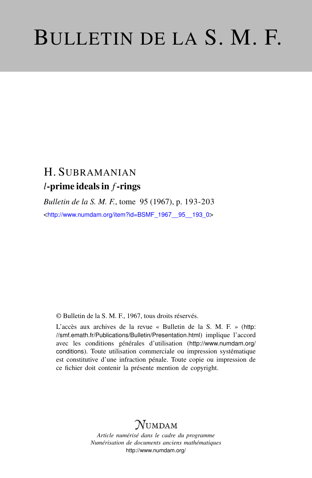# BULLETIN DE LA S. M. F.

# H. SUBRAMANIAN *l*-prime ideals in *f*-rings

*Bulletin de la S. M. F.*, tome 95 (1967), p. 193-203 <[http://www.numdam.org/item?id=BSMF\\_1967\\_\\_95\\_\\_193\\_0](http://www.numdam.org/item?id=BSMF_1967__95__193_0)>

© Bulletin de la S. M. F., 1967, tous droits réservés.

L'accès aux archives de la revue « Bulletin de la S. M. F. » ([http:](http://smf.emath.fr/Publications/Bulletin/Presentation.html) [//smf.emath.fr/Publications/Bulletin/Presentation.html](http://smf.emath.fr/Publications/Bulletin/Presentation.html)) implique l'accord avec les conditions générales d'utilisation ([http://www.numdam.org/](http://www.numdam.org/conditions) [conditions](http://www.numdam.org/conditions)). Toute utilisation commerciale ou impression systématique est constitutive d'une infraction pénale. Toute copie ou impression de ce fichier doit contenir la présente mention de copyright.

# NUMDAM

*Article numérisé dans le cadre du programme Numérisation de documents anciens mathématiques* <http://www.numdam.org/>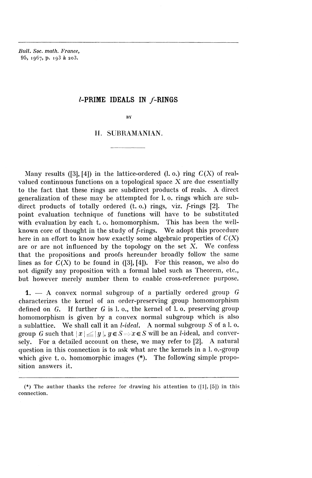*Bull. Soc. math. France,* **95,** 1967, p. 198 a 2o3.

## $l$ -PRIME IDEALS IN  $f$ -RINGS

BY

## H. SUBRAMANIAN.

Many results ([3], [4]) in the lattice-ordered (1. o.) ring  $C(X)$  of realvalued continuous functions on a topological space  $X$  are due essentially to the fact that these rings are subdirect products of reals. A direct generalization of these may be attempted for 1. o. rings which are subdirect products of totally ordered (t. o.) rings, viz. f-rings [2]. The point evaluation technique of functions will have to be substituted with evaluation by each t. o. homomorphism. This has been the wellknown core of thought in the study of f-rings. We adopt this procedure here in an effort to know how exactly some algebraic properties of  $C(X)$ are or are not influenced by the topology on the set  $X$ . We confess that the propositions and proofs hereunder broadly follow the same lines as for  $C(X)$  to be found in ([3], [4]). For this reason, we also do not dignify any proposition with a formal label such as Theorem, etc., but however merely number them to enable cross-reference purpose.

1. — A convex normal subgroup of a partially ordered group *G* characterizes the kernel of an order-preserving group homomorphism defined on *G.* If further G is 1. o., the kernel of 1. o. preserving group homomorphism is given by a convex normal subgroup which is also a sublattice. We shall call it an *l-ideal.* A normal subgroup *S* of a 1. o. group *G* such that  $|x| \le |y|$ ,  $y \in S \Rightarrow x \in S$  will be an *l*-ideal, and conversely. For a detailed account on these, we may refer to [2]. A natural question in this connection is to ask what are the kernels in a 1. o.-group which give t. o. homomorphic images (\*). The following simple proposition answers it.

<sup>(\*)</sup> The author thanks the referee for drawing his attention to  $([1], [5])$  in this connection.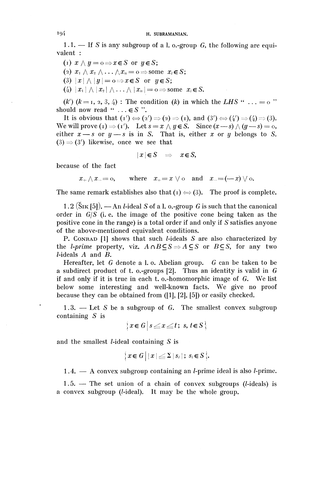1.1. — If *S* is any subgroup of a 1. o.-group *G,* the following are equivalent :

- (1)  $x \wedge y = 0 \Rightarrow x \in S$  or  $y \in S$ ;
- (2)  $x_1 \wedge x_2 \wedge \ldots \wedge x_n = 0 \Rightarrow$  some  $x_i \in S$ ;
- (3)  $|x| \wedge |y| = 0 \Rightarrow x \in S$  or  $y \in S$ ;
- (4)  $|x_1 | \wedge |x_2 | \wedge \ldots \wedge |x_n | = 0 \Rightarrow$  some  $x_i \in S$ .

 $(k')$   $(k = 1, 2, 3, 4)$ : The condition  $(k)$  in which the LHS " ... = o " should now read " $\dots \in S$ ".

It is obvious that  $(i') \Leftrightarrow (2') \Rightarrow (2) \Rightarrow (i)$ , and  $(3') \Leftrightarrow (4') \Rightarrow (4) \Rightarrow (3)$ . We will prove (i)  $\Rightarrow$  (i'). Let  $s = x \land y \in S$ . Since  $(x - s) \land (y - s) = 0$ , either  $x - s$  or  $y - s$  is in S. That is, either x or y belongs to S.  $(3) \Rightarrow (3')$  likewise, once we see that

 $|x|\in S \Rightarrow x \in S$ ,

because of the fact

 $x_+ \wedge x_- = 0$ , where  $x_+ = x \vee 0$  and  $x_- = (-x) \vee 0$ .

The same remark establishes also that  $(i) \Leftrightarrow (3)$ . The proof is complete.

1.2 ( $\text{S}_{\text{IK}}$  [5]). — An *l*-ideal *S* of a l. o.-group *G* is such that the canonical order in  $G/S$  (i.e. the image of the positive cone being taken as the positive cone in the range) is a total order if and only if *S* satisfies anyone of the above-mentioned equivalent conditions.

P. CONRAD [1] shows that such *l*-ideals *S* are also characterized by the *l-prime* property, viz.  $A \cap B \subseteq S \Rightarrow A \subseteq S$  or  $B \subseteq S$ , for any two  $l$ -ideals  $A$  and  $B$ .

Hereafter, let *G* denote a 1. o. Abelian group. *G* can be taken to be a subdirect product of t. o.-groups [2]. Thus an identity is valid in *G* if and only if it is true in each t. o.-homomorphic image of  $G$ . We list below some interesting and well-known facts. We give no proof because they can be obtained from ([I], [2], [5]) or easily checked.

1.3. — Let S be a subgroup of G. The smallest convex subgroup containing *S* is

 $\{x \in G \mid s \leq x \leq t; s, t \in S\}$ 

and the smallest *l*-ideal containing *S* is

 $\{ x \in G \mid |x| \leq \sum |s_i|; s_i \in S \}.$ 

 $1.4. - A$  convex subgroup containing an *l*-prime ideal is also *l*-prime.

 $1.5.$  — The set union of a chain of convex subgroups (*l*-ideals) is a convex subgroup  $(l$ -ideal). It may be the whole group.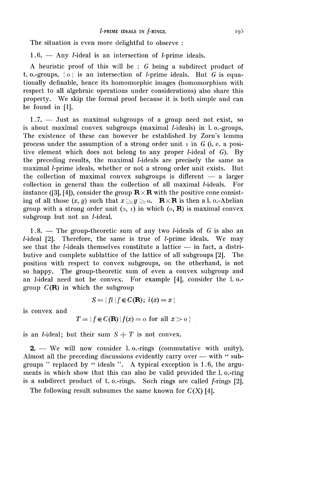The situation is even more delightful to observe :

 $1.6.$  — Any *l*-ideal is an intersection of *l*-prime ideals.

A heuristic proof of this will be : *G* being a subdirect product of t. o.-groups,  $\{ \circ \}$  is an intersection of *l*-prime ideals. But *G* is equationally definable, hence its homomorphic images (homomorphism with respect to all algebraic operations under considerations) also share this property. We skip the formal proof because it is both simple and can be found in [1].

1.7. — Just as maximal subgroups of a group need not exist, so is about maximal convex subgroups (maximal *l*-ideals) in l. o.-groups. The existence of these can however be established by Zorn's lemma process under the assumption of a strong order unit  $\bar{I}$  in  $\bar{G}$  (i.e. a positive element which does not belong to any proper  $l$ -ideal of  $G$ ). By the preceding results, the maximal *l*-ideals are precisely the same as maximal *l*-prime ideals, whether or not a strong order unit exists. But the collection of maximal convex subgroups is different — a larger collection in general than the collection of all maximal *l*-ideals. For instance ([3], [4]), consider the group  $\mathbf{R} \times \mathbf{R}$  with the positive cone consisting of all those  $(x, y)$  such that  $x \leq y \leq 0$ . **R** $\times$ **R** is then a l. o.-Abelian group with a strong order unit  $(2, 1)$  in which  $(0, \mathbf{R})$  is maximal convex subgroup but not an  $l$ -ideal.

1.8. — The group-theoretic sum of any two *l*-ideals of  $G$  is also an  $l$ -ideal  $[2]$ . Therefore, the same is true of  $l$ -prime ideals. We may see that the *l*-ideals themselves constitute a lattice  $-$  in fact, a distributive and complete sublattice of the lattice of all subgroups [2]. The position with respect to convex subgroups, on the otherhand, is not so happy. The group-theoretic sum of even a convex subgroup and an *l*-ideal need not be convex. For example [4], consider the l.o.group  $C(\mathbf{R})$  in which the subgroup

$$
S = \{ fi \mid f \in C(\mathbf{R});\ i(x) = x \}
$$

is convex and

$$
T = \{ f \in C(\mathbf{R}) \mid f(x) = o \text{ for all } x > o \}
$$

is an *l*-ideal; but their sum  $S + T$  is not convex.

2. — We will now consider 1. o.-rings (commutative with unity). Almost all the preceding discussions evidently carry over — with " subgroups " replaced by " ideals ". A typical exception is 1.6, the arguments in which show that this can also be valid provided the 1. o.-ring is a subdirect product of t. o.-rings. Such rings are called f-rings [2].

The following result subsumes the same known for  $C(X)$  [4].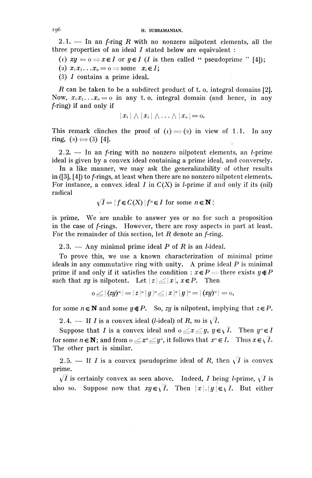2.1. — In an  $f$ -ring  $R$  with no nonzero nilpotent elements, all the three properties of an ideal *I* stated below are equivalent :

(1)  $xy = 0 \Rightarrow x \in I$  or  $y \in I$  (*I* is then called " pseudoprime " [4]);

(2)  $x_1x_2...x_n=0 \Rightarrow$  some  $x_i \in I;$ 

(3)  $I$  contains a prime ideal.

R can be taken to be a subdirect product of t. o. integral domains  $[2]$ . Now,  $x_1x_2...x_n=0$  in any t. o. integral domain (and hence, in any /-ring) if and only if

$$
|x_1|\wedge |x_2|\wedge \ldots \wedge |x_n|=0.
$$

This remark clinches the proof of  $(i) \Leftrightarrow (2)$  in view of 1.1. In any ring,  $(2) \Leftrightarrow (3)$  [4].

 $2.2.$  — In an *f*-ring with no nonzero nilpotent elements, an *l*-prime ideal is given by a convex ideal containing a prime ideal, and conversely.

In a like manner, we may ask the generalizability of other results in ([3], [4]) to f-rings, at least when there are no nonzero nilpotent elements. For instance, a convex ideal  $I$  in  $C(X)$  is *l*-prime if and only if its (nil) radical

$$
\sqrt{I} = \{ f \in C(X) \mid f^n \in I \text{ for some } n \in \mathbf{N} \}
$$

is prime. We are unable to answer yes or no for such a proposition in the case of *f*-rings. However, there are rosy aspects in part at least. For the remainder of this section, let  $R$  denote an  $f$ -ring.

2.3. — Any minimal prime ideal P of *R* is an /-ideal.

To prove this, we use a known characterization of minimal prime ideals in any commutative ring with unity. A prime ideal  $P$  is minimal prime if and only if it satisfies the condition :  $x \in P \Rightarrow$  there exists  $y \notin P$ such that *xy* is nilpotent. Let  $|z| \leq |x|, x \in P$ . Then

$$
0\leq |\left( zy\right) ^{n}|=|z|^{n}\,|y\,|^{n}\!\leq\! |x|^{n}\,|y\,|^{n}\!=\!|(xy)^{n}|=0,
$$

for some  $n \in \mathbb{N}$  and some  $y \notin P$ . So, *zy* is nilpotent, implying that  $z \in P$ .

2.4. — If *I* is a convex ideal (*l*-ideal) of *R*, so is  $\sqrt{I}$ .

Suppose that *I* is a convex ideal and  $o \leq x \leq y$ ,  $y \in \sqrt{I}$ . Then  $y^n \in I$ <br>c some  $n \in \mathbb{N}$ ; and from  $o \leq x^n \leq y^n$ , it follows that  $x^n \in I$ . Thus  $x \in \sqrt{I}$ . for some  $n \in \mathbf{N}$ ; and from  $0 \leq x^n \leq y^n$ , it follows that  $x^n$ The other part is similar.

2.5. — If *I* is a convex pseudoprime ideal of *R*, then  $\sqrt{I}$  is convex prime.

 $\sqrt{I}$  is certainly convex as seen above. Indeed, *I* being *l*-prime,  $\sqrt{I}$  is also so. Suppose now that  $xy \in \sqrt{I}$ . Then  $|x|, |y| \in \sqrt{I}$ . But either

I9<sup>6</sup>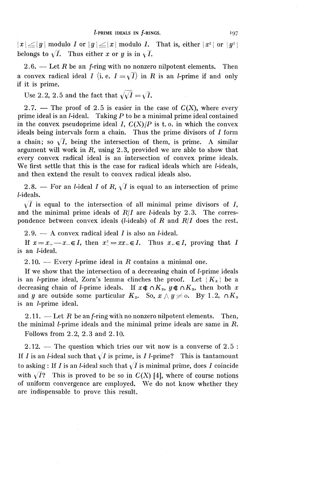$|x| \le |y|$  modulo *I* or  $|y| \le |x|$  modulo *I*. That is, either  $|x^2|$  or  $|y^2|$  belongs to  $\sqrt{I}$ . Thus either *x* or *y* is in  $\sqrt{I}$ .

2.6. — Let R be an *f*-ring with no nonzero nilpotent elements. Then a convex radical ideal *I* (i. e.  $I = \sqrt{I}$ ) in *R* is an *l*-prime if and only if it is prime.

Use 2.2, 2.5 and the fact that  $\sqrt{\sqrt{I}} = \sqrt{I}$ .

2.7. — The proof of 2.5 is easier in the case of  $C(X)$ , where every prime ideal is an  $l$ -ideal. Taking  $P$  to be a minimal prime ideal contained in the convex pseudoprime ideal I,  $C(X)/P$  is t.o. in which the convex ideals being intervals form a chain. Thus the prime divisors of *I* form a chain; so  $\sqrt{I}$ , being the intersection of them, is prime. A similar argument will work in *R,* using 2.3, provided we are able to show that every convex radical ideal is an intersection of convex prime ideals. We first settle that this is the case for radical ideals which are *l*-ideals, and then extend the result to convex radical ideals also.

2.8. — For an *l*-ideal *I* of R,  $\sqrt{I}$  is equal to an intersection of prime *l*-ideals.

 $\sqrt{I}$  is equal to the intersection of all minimal prime divisors of I, and the minimal prime ideals of  $R/I$  are *l*-ideals by 2.3. The correspondence between convex ideals (*l*-ideals) of  $R$  and  $R/I$  does the rest.

 $2.9. - A$  convex radical ideal *I* is also an *l*-ideal.

If  $x = x_+ - x_- \in I$ , then  $x_+^2 = xx_+ \in I$ . Thus  $x_+ \in I$ , proving that is an *l*-ideal.

 $2.10.$  – Every *l*-prime ideal in *R* contains a minimal one.

If we show that the intersection of a decreasing chain of *l*-prime ideals is an *l*-prime ideal, Zorn's lemma clinches the proof. Let  ${K_{\alpha}}$  be a decreasing chain of *l*-prime ideals. If  $x \notin \bigcap K_x$ ,  $y \notin \bigcap K_x$ , then both x and *y* are outside some particular  $K_{\alpha}$ . So,  $x \wedge y \neq o$ . By 1.2,  $\wedge K_{\alpha}$ is an *l*-prime ideal.

2.11. — Let  $R$  be an f-ring with no nonzero nilpotent elements. Then, the minimal *l*-prime ideals and the minimal prime ideals are same in R. Follows from 2.2, 2.3 and 2.10.

2.12. — The question which tries our wit now is a converse of 2.5 : If *I* is an *l*-ideal such that  $\sqrt{I}$  is prime, is *I l*-prime? This is tantamount to asking : If *I* is an *l*-ideal such that  $\sqrt{I}$  is minimal prime, does *I* coincide with  $\sqrt{I}$ ? This is proved to be so in  $C(X)$  [4], where of course notions of uniform convergence are employed. We do not know whether they are indispensable to prove this result.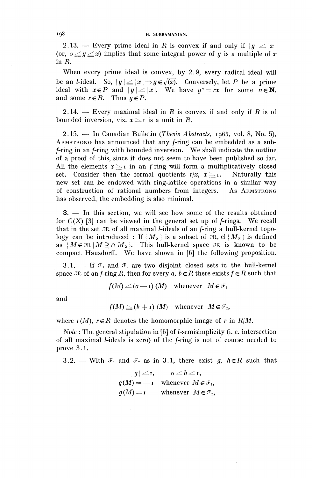#### 198 H. SUBRAMANIAN.

2.13. — Every prime ideal in *R* is convex if and only if  $|y| \le |x|$ (or,  $0 \le y \le x$ ) implies that some integral power of *y* is a multiple of *x* in  $R$ .

When every prime ideal is convex, by 2.9, every radical ideal will be an *l*-ideal. So,  $|y| \le |x| \Rightarrow y \in \sqrt{x}$ . Conversely, let *P* be a prime be an *l*-ideal. So,  $|y| \le |x| \Rightarrow y \in \sqrt{x}$ . Conversely, let *P* be a prime ideal with  $x \in P$  and  $|y| \le |x|$ . We have  $y^n = rx$  for some  $n \in \mathbb{N}$ , and some  $r \in R$ . Thus  $y \in P$ .

2.14. — Every maximal ideal in *R* is convex if and only if *R* is of bounded inversion, viz.  $x \geq 1$  is a unit in R.

2.15. — In Canadian Bulletin *(Thesis Abstracts,* ig65, vol. 8, No. 5), ARMSTRONG has announced that any f-ring can be embedded as a subf-ring in an f-ring with bounded inversion. We shall indicate the outline of a proof of this, since it does not seem to have been published so far. All the elements  $x \leq r$  in an f-ring will form a multiplicatively closed set. Consider then the formal quotients  $r/x$ ,  $x \geq r$ . Naturally this new set can be endowed with ring-lattice operations in a similar way of construction of rational numbers from integers. As ARMSTRONG has observed, the embedding is also minimal.

3. — In this section, we will see how some of the results obtained for  $C(X)$  [3] can be viewed in the general set up of f-rings. We recall that in the set  $\mathfrak{M}$  of all maximal *l*-ideals of an *f*-ring a hull-kernel topology can be introduced : If  ${M_\alpha}$  is a subset of  $\mathfrak{M},$  cl  ${M_\alpha}$  is defined as  ${M \in \mathfrak{M} \mid M \supseteq \cap M_\alpha}$ . This hull-kernel space  $\mathfrak{M}$  is known to be compact Hausdorff. We have shown in [6] the following proposition.

3.1. — If  $\mathcal{I}_1$  and  $\mathcal{I}_2$  are two disjoint closed sets in the hull-kernel space  $\partial \mathcal{R}$  of an *f*-ring *R*, then for every *a*,  $b \in R$  there exists  $f \in R$  such that

$$
f(M) \leq (a-1) (M)
$$
 whenever  $M \in \mathcal{F}_1$ 

and

$$
f(M) \ge (b+1) (M)
$$
 whenever  $M \in \mathcal{F}_2$ ,

where  $r(M)$ ,  $r \in R$  denotes the homomorphic image of r in  $R/M$ .

*Note*: The general stipulation in [6] of *l*-semisimplicity (i. e. intersection of all maximal *l*-ideals is zero) of the f-ring is not of course needed to prove 3.1.

3.2. — With  $\mathcal{F}_1$  and  $\mathcal{F}_2$  as in 3.1, there exist g,  $h \in \mathbb{R}$  such that

$$
|g| \leq 1, \qquad o \leq h \leq 1,
$$
  
 
$$
g(M) = -1 \qquad \text{whenever} \quad M \in \mathcal{F}_1,
$$
  
 
$$
g(M) = 1 \qquad \text{whenever} \quad M \in \mathcal{F}_2,
$$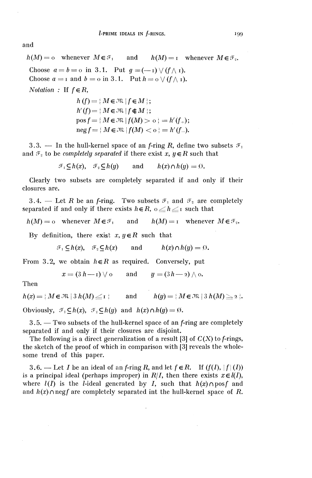and

$$
h(M) = o \text{ whenever } M \in \mathcal{F}_1 \text{ and } h(M) = r \text{ whenever } M \in \mathcal{F}_2.
$$
  
Choose  $a = b = o$  in 3.1. Put  $g = (-1) \vee (f \wedge r)$ .  
Choose  $a = r$  and  $b = o$  in 3.1. Put  $h = o \vee (f \wedge r)$ .  
Notation : If  $f \in R$ ,  

$$
h(f) = \{M \in \mathcal{M} \mid f \in M\};
$$

 $h'(f) = | M \in \mathfrak{M} | f \notin M$ ;  $pos f = \{M \in \mathfrak{M} \mid f(M) > o\} = h'(f_+);$  $neg f = {M \in \mathfrak{M} \mid f(M) < o} = h'(f_{-}).$ 

3.3. — In the hull-kernel space of an *f*-ring *R*, define two subsets  $\mathcal{F}_1$ and  $\mathcal{F}_2$  to be *completely separated* if there exist  $x, y \in R$  such that

 $\mathcal{F}_1 \subset h(x), \quad \mathcal{F}_2 \subset h(y) \qquad \text{and} \qquad h(x) \cap h(y) = \emptyset.$ 

Clearly two subsets are completely separated if and only if their closures are.

3.4. — Let *R* be an *f*-ring. Two subsets  $\mathcal{F}_1$  and  $\mathcal{F}_2$  are completely separated if and only if there exists  $h \in R$ ,  $0 \leq h \leq I$  such that

 $h(M) = 0$  whenever  $M \in \mathcal{F}_1$  and  $h(M) = I$  whenever  $M \in \mathcal{F}_2$ .

By definition, there exist  $x, y \in R$  such that

 $\mathcal{F}_1 \subset h(x)$ ,  $\mathcal{F}_2 \subset h(x)$  and  $h(x) \cap h(y) = \emptyset$ .

From 3.2, we obtain  $h \in R$  as required. Conversely, put

 $x = (3h - i) \vee o$  and  $y = (3h - 2) \wedge o$ .

Then

 $h(x) = \{ M \in \mathfrak{M} \mid 3 \ h(M) \leq x \}$  and  $h(y) = \{ M \in \mathfrak{M} \mid 3 \ h(M) \geq 2 \}.$ 

Obviously,  $\mathcal{F}_1 \subseteq h(x)$ ,  $\mathcal{F}_2 \subseteq h(y)$  and  $h(x) \cap h(y) = \emptyset$ .

 $3.5.$  — Two subsets of the hull-kernel space of an *f*-ring are completely separated if and only if their closures are disjoint.

The following is a direct generalization of a result [3] of  $C(X)$  to f-rings, the sketch of the proof of which in comparison with [3] reveals the wholesome trend of this paper.

3.6. — Let *I* be an ideal of an *f*-ring *R*, and let  $f \in R$ . If  $(f(I), |f|(I))$ is a principal ideal (perhaps improper) in  $R/I$ , then there exists  $x \in l(I)$ , where  $l(I)$  is the *l*-ideal generated by *I*, such that  $h(x) \cap \text{pos} f$  and and  $h(x) \cap \text{neg} f$  are completely separated int the hull-kernel space of R.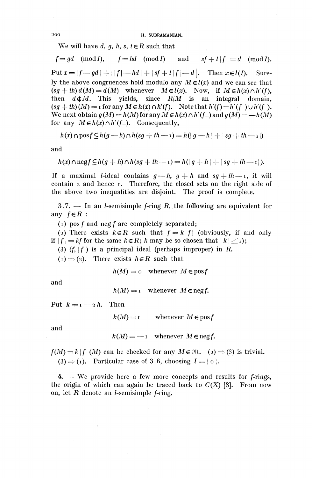200 H. SUBRAMANIAN.

We will have d, q, h, s,  $t \in R$  such that

 $f=qd \pmod{I}$ ,  $f=hd \pmod{I}$  and  $sf+t|f|=d \pmod{I}$ .  $Put x = |f - g d| + |f| - h d + |sf + |f| - d|.$  Then  $x \in l(I)$ . Surely the above congruences hold modulo any  $M \in l(x)$  and we can see that  $(sg + th) d(M) = d(M)$  whenever  $M \in l(x)$ . Now, if  $M \in h(x) \cap h'(f)$ , then  $d \notin M$ . This yields, since  $R/M$  is an integral domain,  $(sg + th)(M) =$ **i** for any  $M \in h(x) \cap h'(f)$ . Note that  $h'(f) = h'(f_+) \cup h'(f_-)$ . We next obtain  $g(M) = h(M)$  for any  $M \in h(x) \cap h'(f_+)$  and  $g(M) = -h(M)$ for any  $M \in h(x) \cap h'(f)$ . Consequently,

$$
h(x) \cap \text{posf} \subseteq h(g-h) \cap h(sg + th - x) = h(|g-h| + |sg + th - x|)
$$

and

$$
h(x) \cap \operatorname{negf} \subseteq h(g+h) \cap h(sg+th-1) = h(|g+h|+|sg+th-1|).
$$

If a maximal *l*-ideal contains  $g-h$ ,  $g+h$  and  $sg+th$ —I, it will contain  $\alpha$  and hence  $\alpha$ . Therefore, the closed sets on the right side of the above two inequalities are disjoint. The proof is complete.

3.7. — In an *l*-semisimple *f*-ring  $R$ , the following are equivalent for any *feR :*

(1) pos *f* and neg *f* are completely separated;

(2) There exists  $k \in \mathbb{R}$  such that  $f = k | f |$  (obviously, if and only if  $|f| = kf$  for the same  $k \in R$ ; k may be so chosen that  $|k| \leq i$ ;

(3)  $(f, |f|)$  is a principal ideal (perhaps improper) in *F*.

 $(i) \Rightarrow (2)$ . There exists  $h \in R$  such that

$$
h(M) = 0 \quad \text{whenever} \quad M \in \text{pos}f
$$

and

 $h(M) = I$  whenever  $M \in$  neg *f*.

Put  $k = 1 - 2h$ . Then

 $k(M) = i$  whenever  $M \in \text{pos } f$ 

and

 $k(M) = -1$  whenever  $M \in$  neg f.

 $f(M) = k |f|(M)$  can be checked for any  $M \in \mathbb{R}$ . (2)  $\Rightarrow$  (3) is trivial. (3)  $\Rightarrow$  (1). Particular case of 3.6, choosing  $I = \{o\}$ .

4. — We provide here a few more concepts and results for f-rings, the origin of which can again be traced back to  $C(X)$  [3]. From now on, let  $R$  denote an *l*-semisimple  $f$ -ring.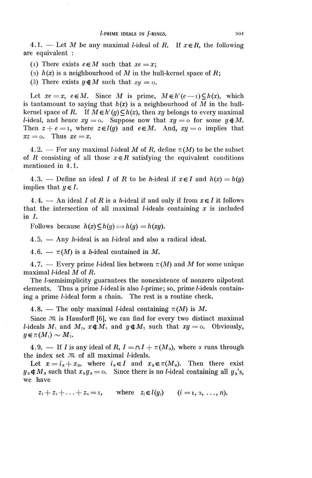4.1. — Let *M* be any maximal *l*-ideal of *R*. If  $x \in R$ , the following are equivalent :

(1) There exists  $e \in M$  such that  $xe = x$ ;

(2)  $h(x)$  is a neighbourhood of M in the hull-kernel space of R;

(3) There exists  $y \notin M$  such that  $xy = 0$ .

Let  $xe=x$ ,  $e\in M$ . Since M is prime,  $M\in h'(e-1)\subseteq h(x)$ , which is tantamount to saying that  $h(x)$  is a neighbourhood of M in the hullkernel space of R. If  $M \in h'(y) \subseteq h(x)$ , then xy belongs to every maximal *l*-ideal, and hence  $xy = 0$ . Suppose now that  $xy = 0$  for some  $y \notin M$ . Then  $z + e = i$ , where  $z \in l(y)$  and  $e \in M$ . And,  $xy = o$  implies that  $xz = 0$ . Thus  $xe = x$ .

4.2. — For any maximal *l*-ideal *M* of *R*, define  $\pi(M)$  to be the subset of *R* consisting of all those  $x \in R$  satisfying the equivalent conditions mentioned in 4.1.

4.3. — Define an ideal *I* of *R* to be *h*-ideal if  $x \in I$  and  $h(x) = h(y)$ implies that  $y \in I$ .

4.4. — An ideal *I* of *R* is a *h*-ideal if and only if from  $x \in I$  it follows that the intersection of all maximal *l*-ideals containing  $x$  is included in  $I$ .

Follows because  $h(x) \subseteq h(y) \Longleftrightarrow h(y) = h(xy)$ .

4.5. — Any h-ideal is an /-ideal and also a radical ideal.

4.6. —  $\pi(M)$  is a *h*-ideal contained in M.

4.7. — Every prime *l*-ideal lies between  $\pi(M)$  and M for some unique maximal /-ideal *M* of *R.*

The /-semisimplicity guarantees the nonexistence of nonzero nilpotent elements. Thus a prime *l*-ideal is also *l*-prime; so, prime *l*-ideals containing a prime *l*-ideal form a chain. The rest is a routine check.

4.8. — The only maximal *l*-ideal containing  $\pi(M)$  is M.

Since  $\mathfrak{M}$  is Hausforff [6], we can find for every two distinct maximal *l*-ideals  $M_1$  and  $M_2$ ,  $x \notin M_1$  and  $y \notin M_2$  such that  $xy = 0$ . Obviously,  $y \in \pi(M_1) \sim M_2$ .

4.9. — If *I* is any ideal of *R*,  $I = \Omega I + \pi (M_{\alpha})$ , where  $\alpha$  runs through the index set  $\mathfrak{M}$  of all maximal *l*-ideals.

Let  $x=i_{\alpha}+x_{\alpha}$ , where  $i_{\alpha}\in I$  and  $x_{\alpha}\in\pi(M_{\alpha})$ . Then there exist  $y_{\alpha} \notin M_{\alpha}$  such that  $x_{\alpha}y_{\alpha} = 0$ . Since there is no *l*-ideal containing all  $y_{\alpha}$ 's, we have

 $z_1+z_2+\ldots+z_n=1$ , where  $z_i \in l(y_i)$   $(i = 1, 2, \ldots, n).$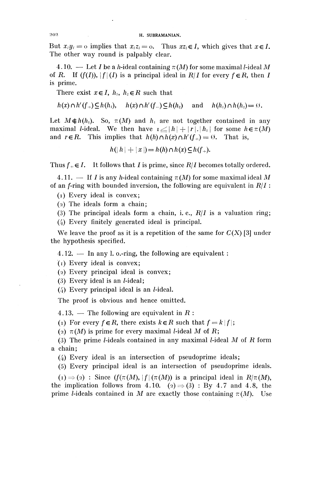#### 202 H. SUBRAMANIAN.

But  $x_i u_i = o$  implies that  $x_i z_i = o$ . Thus  $x z_i \in I$ , which gives that  $x \in I$ . The other way round is palpably clear.

4.10. — Let I be a h-ideal containing  $\pi(M)$  for some maximal l-ideal M of *R*. If  $(f(I))$ ,  $|f|(I)$  is a principal ideal in  $R/I$  for every  $f \in R$ , then I is prime.

There exist  $x \in I$ ,  $h_1$ ,  $h_2 \in R$  such that

$$
h(x) \cap h'(f_+) \subseteq h(h_1), \quad h(x) \cap h'(f_-) \subseteq h(h_2) \quad \text{and} \quad h(h_1) \cap h(h_2) = \emptyset.
$$

Let  $M\neq h(h_1)$ . So,  $\pi(M)$  and  $h_1$  are not together contained in any maximal *l*-ideal. We then have  $\mathbf{1} \leq |h| + |\mathbf{r}| \cdot |h_1|$  for some  $h \in \pi(M)$ and  $r \in R$ . This implies that  $h(h) \cap h(x) \cap h'(f_+) = 0$ . That is

$$
h(|h| + |x|) = h(h) \cap h(x) \subseteq h(f_+).
$$

Thus  $f_{+} \in I$ . It follows that *I* is prime, since  $R/I$  becomes totally ordered.

4.11. — If *I* is any *h*-ideal containing  $\pi(M)$  for some maximal ideal M of an  $f$ -ring with bounded inversion, the following are equivalent in  $R/I$ :

(1) Every ideal is convex;

(2) The ideals form a chain;

(3) The principal ideals form a chain, i. e.,  $R/I$  is a valuation ring;

(4) Every finitely generated ideal is principal.

We leave the proof as it is a repetition of the same for  $C(X)$  [3] under the hypothesis specified.

4.12. — In any 1. o.-ring, the following are equivalent :

 $(I)$  Every ideal is convex;

(2) Every principal ideal is convex;

(3) Every ideal is an  $l$ -ideal;

(4) Every principal ideal is an /-ideal.

The proof is obvious and hence omitted.

4.13. — The following are equivalent in *R :*

(1) For every  $f \in R$ , there exists  $k \in R$  such that  $f = k |f|$ ;

(2)  $\pi(M)$  is prime for every maximal *l*-ideal M of R;

(3) The prime *l*-ideals contained in any maximal *l*-ideal *M* of *R* form a chain;

(4) Every ideal is an intersection of pseudoprime ideals;

(5) Every principal ideal is an intersection of pseudoprime ideals.

 $(i) \Rightarrow (2)$ : Since  $(f(\pi(M), |f|(\pi(M)))$  is a principal ideal in  $R/\pi(M)$ , the implication follows from 4.10. (2)  $\Rightarrow$  (3) : By 4.7 and 4.8, the prime *l*-ideals contained in *M* are exactly those containing  $\pi(M)$ . Use